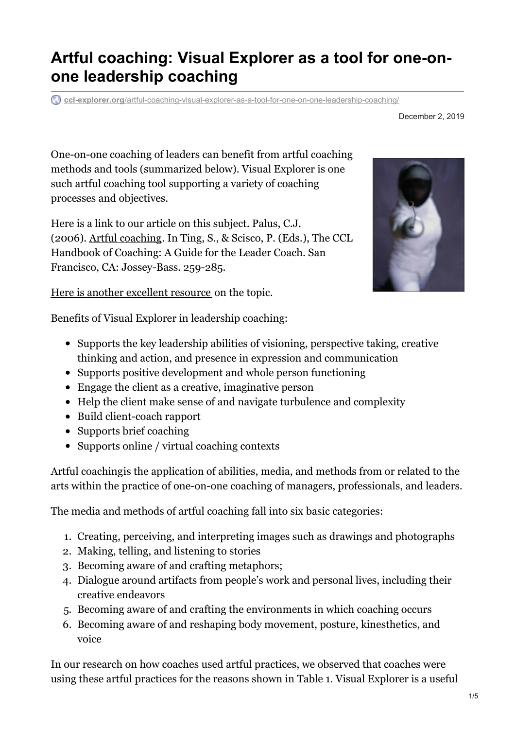# **Artful coaching: Visual Explorer as a tool for one-onone leadership coaching**

**ccl-explorer.org**[/artful-coaching-visual-explorer-as-a-tool-for-one-on-one-leadership-coaching/](https://ccl-explorer.org/artful-coaching-visual-explorer-as-a-tool-for-one-on-one-leadership-coaching/)

One-on-one coaching of leaders can benefit from artful coaching methods and tools (summarized below). Visual Explorer is one such artful coaching tool supporting a variety of coaching processes and objectives.

Here is a link to our article on this subject. Palus, C.J. (2006). Artful [coaching](http://cclexpprod.wpengine.com/wp-content/uploads/2008/03/Artful_Coaching_Palus_2006.pdf). In Ting, S., & Scisco, P. (Eds.), The CCL Handbook of Coaching: A Guide for the Leader Coach. San Francisco, CA: Jossey-Bass. 259-285.

Here is another [excellent](http://cclexpprod.wpengine.com/integrating-visual-images-in-coaching-action-plans/) resource on the topic.

Benefits of Visual Explorer in leadership coaching:

- Supports the key leadership abilities of visioning, perspective taking, creative thinking and action, and presence in expression and communication
- Supports positive development and whole person functioning
- Engage the client as a creative, imaginative person
- Help the client make sense of and navigate turbulence and complexity
- Build client-coach rapport
- Supports brief coaching
- Supports online / virtual coaching contexts

Artful coachingis the application of abilities, media, and methods from or related to the arts within the practice of one-on-one coaching of managers, professionals, and leaders.

The media and methods of artful coaching fall into six basic categories:

- 1. Creating, perceiving, and interpreting images such as drawings and photographs
- 2. Making, telling, and listening to stories
- 3. Becoming aware of and crafting metaphors;
- 4. Dialogue around artifacts from people's work and personal lives, including their creative endeavors
- 5. Becoming aware of and crafting the environments in which coaching occurs
- 6. Becoming aware of and reshaping body movement, posture, kinesthetics, and voice

In our research on how coaches used artful practices, we observed that coaches were using these artful practices for the reasons shown in Table 1. Visual Explorer is a useful



December 2, 2019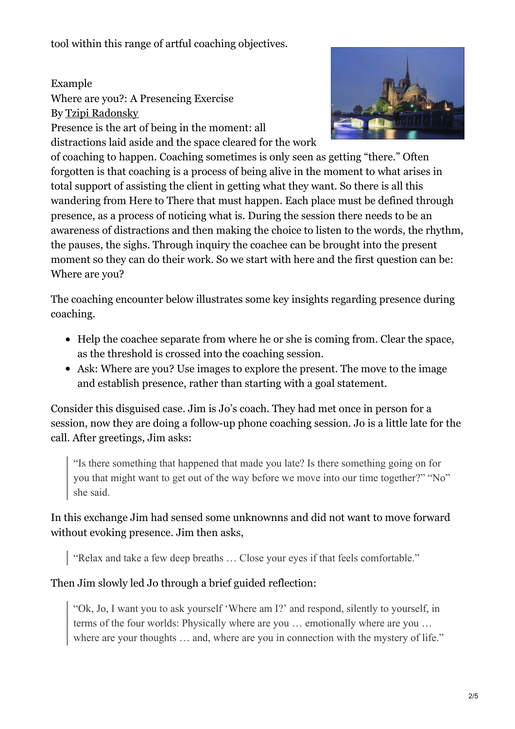tool within this range of artful coaching objectives.

Example Where are you?: A Presencing Exercise By Tzipi [Radonsky](http://societyofthevav.blogspot.com/2008/02/transformation-and-healing.html) Presence is the art of being in the moment: all distractions laid aside and the space cleared for the work



of coaching to happen. Coaching sometimes is only seen as getting "there." Often forgotten is that coaching is a process of being alive in the moment to what arises in total support of assisting the client in getting what they want. So there is all this wandering from Here to There that must happen. Each place must be defined through presence, as a process of noticing what is. During the session there needs to be an awareness of distractions and then making the choice to listen to the words, the rhythm, the pauses, the sighs. Through inquiry the coachee can be brought into the present moment so they can do their work. So we start with here and the first question can be: Where are you?

The coaching encounter below illustrates some key insights regarding presence during coaching.

- Help the coachee separate from where he or she is coming from. Clear the space, as the threshold is crossed into the coaching session.
- Ask: Where are you? Use images to explore the present. The move to the image and establish presence, rather than starting with a goal statement.

Consider this disguised case. Jim is Jo's coach. They had met once in person for a session, now they are doing a follow-up phone coaching session. Jo is a little late for the call. After greetings, Jim asks:

"Is there something that happened that made you late? Is there something going on for you that might want to get out of the way before we move into our time together?" "No" she said.

#### In this exchange Jim had sensed some unknownns and did not want to move forward without evoking presence. Jim then asks,

"Relax and take a few deep breaths … Close your eyes if that feels comfortable."

### Then Jim slowly led Jo through a brief guided reflection:

"Ok, Jo, I want you to ask yourself 'Where am I?' and respond, silently to yourself, in terms of the four worlds: Physically where are you … emotionally where are you … where are your thoughts ... and, where are you in connection with the mystery of life."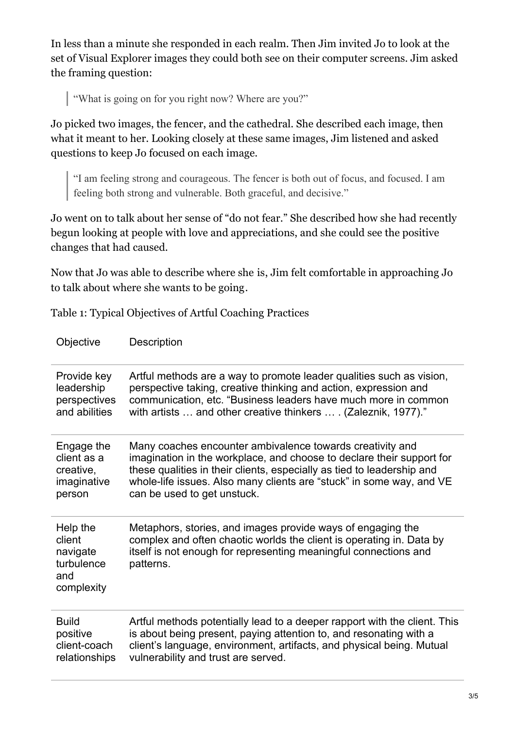In less than a minute she responded in each realm. Then Jim invited Jo to look at the set of Visual Explorer images they could both see on their computer screens. Jim asked the framing question:

"What is going on for you right now? Where are you?"

Jo picked two images, the fencer, and the cathedral. She described each image, then what it meant to her. Looking closely at these same images, Jim listened and asked questions to keep Jo focused on each image.

"I am feeling strong and courageous. The fencer is both out of focus, and focused. I am feeling both strong and vulnerable. Both graceful, and decisive."

Jo went on to talk about her sense of "do not fear." She described how she had recently begun looking at people with love and appreciations, and she could see the positive changes that had caused.

Now that Jo was able to describe where she is, Jim felt comfortable in approaching Jo to talk about where she wants to be going.

Table 1: Typical Objectives of Artful Coaching Practices

| Objective                                                         | Description                                                                                                                                                                                                          |
|-------------------------------------------------------------------|----------------------------------------------------------------------------------------------------------------------------------------------------------------------------------------------------------------------|
| Provide key                                                       | Artful methods are a way to promote leader qualities such as vision,                                                                                                                                                 |
| leadership                                                        | perspective taking, creative thinking and action, expression and                                                                                                                                                     |
| perspectives                                                      | communication, etc. "Business leaders have much more in common                                                                                                                                                       |
| and abilities                                                     | with artists  and other creative thinkers  . (Zaleznik, 1977)."                                                                                                                                                      |
| Engage the                                                        | Many coaches encounter ambivalence towards creativity and                                                                                                                                                            |
| client as a                                                       | imagination in the workplace, and choose to declare their support for                                                                                                                                                |
| creative,                                                         | these qualities in their clients, especially as tied to leadership and                                                                                                                                               |
| imaginative                                                       | whole-life issues. Also many clients are "stuck" in some way, and VE                                                                                                                                                 |
| person                                                            | can be used to get unstuck.                                                                                                                                                                                          |
| Help the<br>client<br>navigate<br>turbulence<br>and<br>complexity | Metaphors, stories, and images provide ways of engaging the<br>complex and often chaotic worlds the client is operating in. Data by<br>itself is not enough for representing meaningful connections and<br>patterns. |
| <b>Build</b>                                                      | Artful methods potentially lead to a deeper rapport with the client. This                                                                                                                                            |
| positive                                                          | is about being present, paying attention to, and resonating with a                                                                                                                                                   |
| client-coach                                                      | client's language, environment, artifacts, and physical being. Mutual                                                                                                                                                |
| relationships                                                     | vulnerability and trust are served.                                                                                                                                                                                  |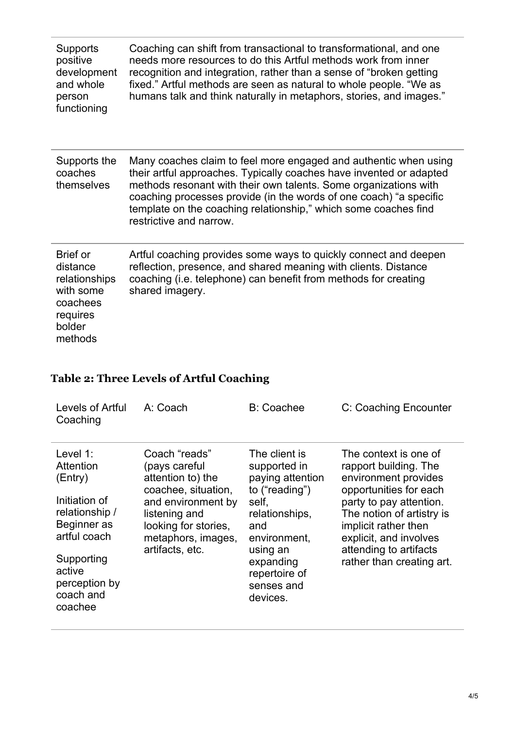| <b>Supports</b><br>positive<br>development<br>and whole<br>person<br>functioning                       | Coaching can shift from transactional to transformational, and one<br>needs more resources to do this Artful methods work from inner<br>recognition and integration, rather than a sense of "broken getting<br>fixed." Artful methods are seen as natural to whole people. "We as<br>humans talk and think naturally in metaphors, stories, and images."                        |
|--------------------------------------------------------------------------------------------------------|---------------------------------------------------------------------------------------------------------------------------------------------------------------------------------------------------------------------------------------------------------------------------------------------------------------------------------------------------------------------------------|
| Supports the<br>coaches<br>themselves                                                                  | Many coaches claim to feel more engaged and authentic when using<br>their artful approaches. Typically coaches have invented or adapted<br>methods resonant with their own talents. Some organizations with<br>coaching processes provide (in the words of one coach) "a specific<br>template on the coaching relationship," which some coaches find<br>restrictive and narrow. |
| <b>Brief or</b><br>distance<br>relationships<br>with some<br>coachees<br>requires<br>bolder<br>methods | Artful coaching provides some ways to quickly connect and deepen<br>reflection, presence, and shared meaning with clients. Distance<br>coaching (i.e. telephone) can benefit from methods for creating<br>shared imagery.                                                                                                                                                       |

## **Table 2: Three Levels of Artful Coaching**

| Levels of Artful<br>Coaching                                                                                                                                        | A: Coach                                                                                                                                                                           | <b>B: Coachee</b>                                                                                                                                                                         | C: Coaching Encounter                                                                                                                                                                                                                                             |
|---------------------------------------------------------------------------------------------------------------------------------------------------------------------|------------------------------------------------------------------------------------------------------------------------------------------------------------------------------------|-------------------------------------------------------------------------------------------------------------------------------------------------------------------------------------------|-------------------------------------------------------------------------------------------------------------------------------------------------------------------------------------------------------------------------------------------------------------------|
| Level 1:<br>Attention<br>(Entry)<br>Initiation of<br>relationship /<br>Beginner as<br>artful coach<br>Supporting<br>active<br>perception by<br>coach and<br>coachee | Coach "reads"<br>(pays careful<br>attention to) the<br>coachee, situation,<br>and environment by<br>listening and<br>looking for stories,<br>metaphors, images,<br>artifacts, etc. | The client is<br>supported in<br>paying attention<br>to ("reading")<br>self,<br>relationships,<br>and<br>environment,<br>using an<br>expanding<br>repertoire of<br>senses and<br>devices. | The context is one of<br>rapport building. The<br>environment provides<br>opportunities for each<br>party to pay attention.<br>The notion of artistry is<br>implicit rather then<br>explicit, and involves<br>attending to artifacts<br>rather than creating art. |